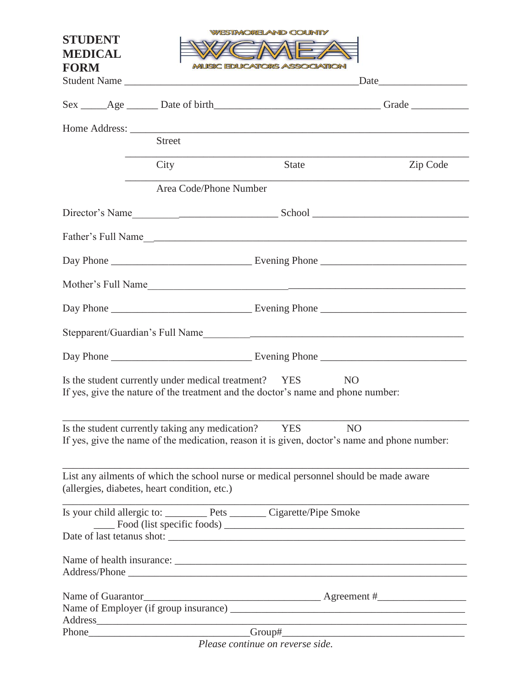| <b>STUDENT</b><br><b>MEDICAL</b><br><b>FORM</b> | <b>MUSIC EDUCATORS ASSOCIATION</b><br>Student Name                                                                                        | <b>ESTMORELAND COUNTY</b> | Date <u>and</u> <u>Date</u>                                                                               |
|-------------------------------------------------|-------------------------------------------------------------------------------------------------------------------------------------------|---------------------------|-----------------------------------------------------------------------------------------------------------|
|                                                 |                                                                                                                                           |                           |                                                                                                           |
|                                                 | <b>Street</b>                                                                                                                             |                           |                                                                                                           |
|                                                 | City                                                                                                                                      | <b>State</b>              | Zip Code                                                                                                  |
|                                                 | Area Code/Phone Number                                                                                                                    |                           |                                                                                                           |
|                                                 |                                                                                                                                           |                           | Director's Name                                                                                           |
|                                                 |                                                                                                                                           |                           |                                                                                                           |
|                                                 |                                                                                                                                           |                           |                                                                                                           |
|                                                 |                                                                                                                                           |                           |                                                                                                           |
|                                                 |                                                                                                                                           |                           |                                                                                                           |
|                                                 |                                                                                                                                           |                           | Stepparent/Guardian's Full Name                                                                           |
|                                                 |                                                                                                                                           |                           |                                                                                                           |
|                                                 | Is the student currently under medical treatment? YES<br>If yes, give the nature of the treatment and the doctor's name and phone number: |                           | NO <sub>1</sub>                                                                                           |
|                                                 | Is the student currently taking any medication? YES                                                                                       |                           | <b>NO</b><br>If yes, give the name of the medication, reason it is given, doctor's name and phone number: |
| (allergies, diabetes, heart condition, etc.)    | List any ailments of which the school nurse or medical personnel should be made aware                                                     |                           |                                                                                                           |
|                                                 | Is your child allergic to: __________ Pets ________ Cigarette/Pipe Smoke                                                                  |                           |                                                                                                           |
|                                                 |                                                                                                                                           |                           |                                                                                                           |
|                                                 |                                                                                                                                           |                           |                                                                                                           |
|                                                 | Phone Phone                                                                                                                               |                           | Name of Guarantor<br>Name of Employer (if group insurance)<br>Mame of Employer (if group insurance)       |

*Please continue on reverse side.*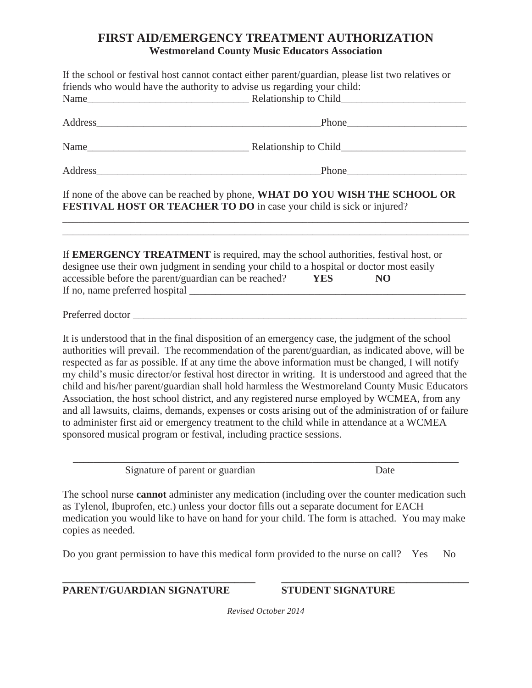## **FIRST AID/EMERGENCY TREATMENT AUTHORIZATION Westmoreland County Music Educators Association**

|                           | If the school or festival host cannot contact either parent/guardian, please list two relatives or<br>friends who would have the authority to advise us regarding your child:                                                                                                                                                                                                                                                                                                                                                                                                                                                                                                                                                                                                                                                                                                                 |                              |                |
|---------------------------|-----------------------------------------------------------------------------------------------------------------------------------------------------------------------------------------------------------------------------------------------------------------------------------------------------------------------------------------------------------------------------------------------------------------------------------------------------------------------------------------------------------------------------------------------------------------------------------------------------------------------------------------------------------------------------------------------------------------------------------------------------------------------------------------------------------------------------------------------------------------------------------------------|------------------------------|----------------|
|                           |                                                                                                                                                                                                                                                                                                                                                                                                                                                                                                                                                                                                                                                                                                                                                                                                                                                                                               |                              |                |
|                           | Address Phone Phone Phone Phone Phone Phone Phone Phone Phone Phone Phone Phone Phone Phone Phone Phone Phone Phone Phone Phone Phone Phone Phone Phone Phone Phone Phone Phone Phone Phone Phone Phone Phone Phone Phone Phon                                                                                                                                                                                                                                                                                                                                                                                                                                                                                                                                                                                                                                                                |                              |                |
|                           |                                                                                                                                                                                                                                                                                                                                                                                                                                                                                                                                                                                                                                                                                                                                                                                                                                                                                               |                              |                |
|                           | Address Phone Phone Phone Phone Phone Phone Phone Phone Phone Phone Phone Phone Phone Phone Phone Phone Phone Phone Phone Phone Phone Phone Phone Phone Phone Phone Phone Phone Phone Phone Phone Phone Phone Phone Phone Phon                                                                                                                                                                                                                                                                                                                                                                                                                                                                                                                                                                                                                                                                |                              |                |
|                           | If none of the above can be reached by phone, WHAT DO YOU WISH THE SCHOOL OR<br><b>FESTIVAL HOST OR TEACHER TO DO</b> in case your child is sick or injured?                                                                                                                                                                                                                                                                                                                                                                                                                                                                                                                                                                                                                                                                                                                                  |                              |                |
|                           | If EMERGENCY TREATMENT is required, may the school authorities, festival host, or<br>designee use their own judgment in sending your child to a hospital or doctor most easily<br>accessible before the parent/guardian can be reached?                                                                                                                                                                                                                                                                                                                                                                                                                                                                                                                                                                                                                                                       | N <sub>O</sub><br><b>YES</b> |                |
|                           |                                                                                                                                                                                                                                                                                                                                                                                                                                                                                                                                                                                                                                                                                                                                                                                                                                                                                               |                              |                |
|                           | It is understood that in the final disposition of an emergency case, the judgment of the school<br>authorities will prevail. The recommendation of the parent/guardian, as indicated above, will be<br>respected as far as possible. If at any time the above information must be changed, I will notify<br>my child's music director/or festival host director in writing. It is understood and agreed that the<br>child and his/her parent/guardian shall hold harmless the Westmoreland County Music Educators<br>Association, the host school district, and any registered nurse employed by WCMEA, from any<br>and all lawsuits, claims, demands, expenses or costs arising out of the administration of or failure<br>to administer first aid or emergency treatment to the child while in attendance at a WCMEA<br>sponsored musical program or festival, including practice sessions. |                              |                |
|                           | Signature of parent or guardian                                                                                                                                                                                                                                                                                                                                                                                                                                                                                                                                                                                                                                                                                                                                                                                                                                                               | Date                         |                |
| copies as needed.         | The school nurse <b>cannot</b> administer any medication (including over the counter medication such<br>as Tylenol, Ibuprofen, etc.) unless your doctor fills out a separate document for EACH<br>medication you would like to have on hand for your child. The form is attached. You may make                                                                                                                                                                                                                                                                                                                                                                                                                                                                                                                                                                                                |                              |                |
|                           | Do you grant permission to have this medical form provided to the nurse on call? Yes                                                                                                                                                                                                                                                                                                                                                                                                                                                                                                                                                                                                                                                                                                                                                                                                          |                              | N <sub>0</sub> |
| PARENT/GUARDIAN SIGNATURE |                                                                                                                                                                                                                                                                                                                                                                                                                                                                                                                                                                                                                                                                                                                                                                                                                                                                                               | <b>STUDENT SIGNATURE</b>     |                |
|                           |                                                                                                                                                                                                                                                                                                                                                                                                                                                                                                                                                                                                                                                                                                                                                                                                                                                                                               |                              |                |

*Revised October 2014*